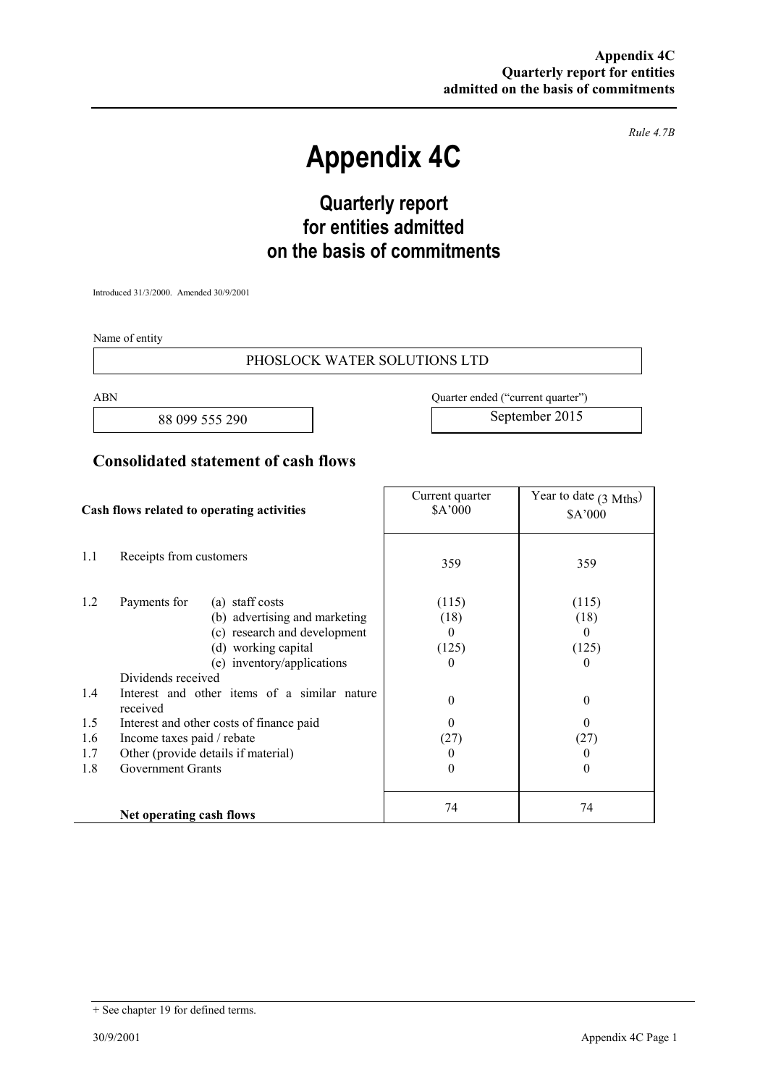*Rule 4.7B* 

# **Appendix 4C**

# **Quarterly report for entities admitted on the basis of commitments**

Introduced 31/3/2000. Amended 30/9/2001

Name of entity

#### PHOSLOCK WATER SOLUTIONS LTD

88 099 555 290 September 2015

ABN Quarter ended ("current quarter")

### **Consolidated statement of cash flows**

| Cash flows related to operating activities |                                                                                                                                                                                                                                                                                                                                                                                      | Current quarter<br>\$A'000                                                                                                                                               | Year to date $(3 \text{ Mths})$<br>\$A'000 |
|--------------------------------------------|--------------------------------------------------------------------------------------------------------------------------------------------------------------------------------------------------------------------------------------------------------------------------------------------------------------------------------------------------------------------------------------|--------------------------------------------------------------------------------------------------------------------------------------------------------------------------|--------------------------------------------|
| 1.1                                        | Receipts from customers                                                                                                                                                                                                                                                                                                                                                              | 359                                                                                                                                                                      | 359                                        |
| 1.2<br>1.4<br>1.5<br>1.6<br>1.7<br>1.8     | Payments for<br>(a) staff costs<br>(b) advertising and marketing<br>(c) research and development<br>(d) working capital<br>(e) inventory/applications<br>Dividends received<br>Interest and other items of a similar nature<br>received<br>Interest and other costs of finance paid<br>Income taxes paid / rebate<br>Other (provide details if material)<br><b>Government Grants</b> | (115)<br>(18)<br>$\theta$<br>$\Omega$<br>(125)<br>$\theta$<br>0<br>$\theta$<br>$\theta$<br>$\theta$<br>$\Omega$<br>(27)<br>(27)<br>0<br>$\theta$<br>$\theta$<br>$\theta$ | (115)<br>(18)<br>(125)                     |
|                                            | Net operating cash flows                                                                                                                                                                                                                                                                                                                                                             | 74                                                                                                                                                                       | 74                                         |

<sup>+</sup> See chapter 19 for defined terms.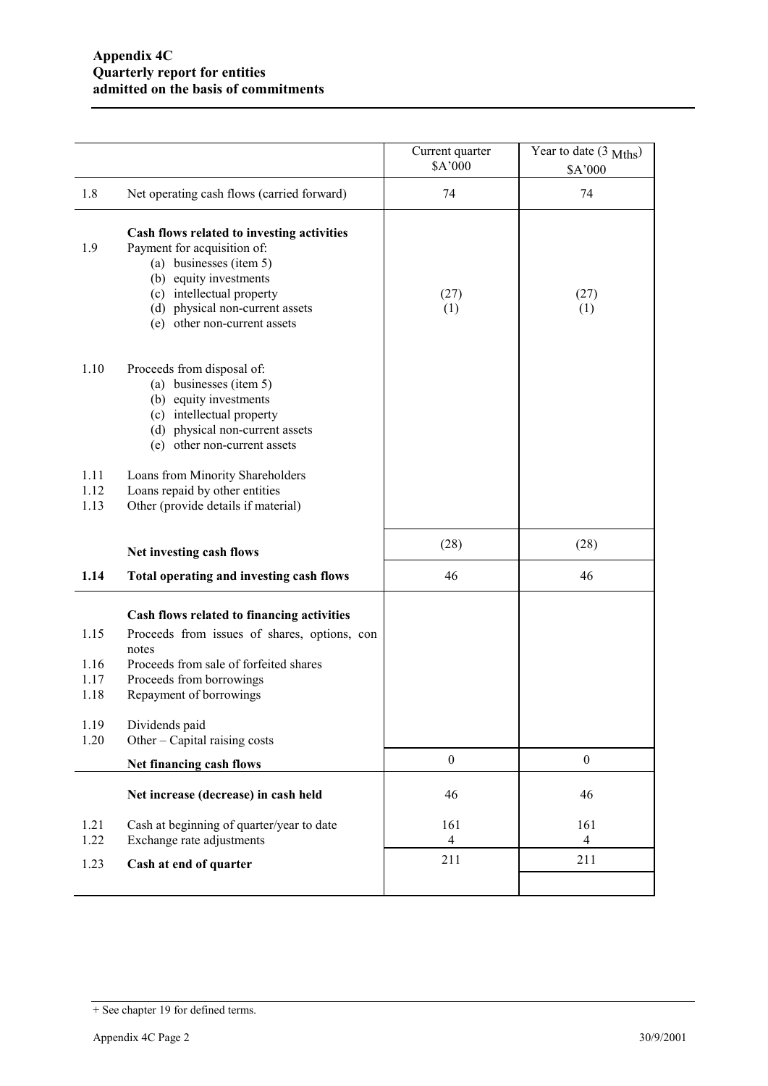|                                      |                                                                                                                                                                                                                                | Current quarter<br>\$A'000 | Year to date $(3 \text{ Mths})$<br>\$A'000 |
|--------------------------------------|--------------------------------------------------------------------------------------------------------------------------------------------------------------------------------------------------------------------------------|----------------------------|--------------------------------------------|
| 1.8                                  | Net operating cash flows (carried forward)                                                                                                                                                                                     | 74                         | 74                                         |
| 1.9                                  | Cash flows related to investing activities<br>Payment for acquisition of:<br>(a) businesses (item 5)<br>(b) equity investments<br>(c) intellectual property<br>(d) physical non-current assets<br>(e) other non-current assets | (27)<br>(1)                | (27)<br>(1)                                |
| 1.10                                 | Proceeds from disposal of:<br>(a) businesses (item 5)<br>(b) equity investments<br>(c) intellectual property<br>(d) physical non-current assets<br>(e) other non-current assets                                                |                            |                                            |
| 1.11<br>1.12<br>1.13                 | Loans from Minority Shareholders<br>Loans repaid by other entities<br>Other (provide details if material)                                                                                                                      |                            |                                            |
|                                      | Net investing cash flows                                                                                                                                                                                                       | (28)                       | (28)                                       |
| 1.14                                 | Total operating and investing cash flows                                                                                                                                                                                       | 46                         | 46                                         |
| 1.15<br>1.16<br>1.17<br>1.18<br>1.19 | Cash flows related to financing activities<br>Proceeds from issues of shares, options, con<br>notes<br>Proceeds from sale of forfeited shares<br>Proceeds from borrowings<br>Repayment of borrowings<br>Dividends paid         |                            |                                            |
| 1.20                                 | Other – Capital raising costs                                                                                                                                                                                                  |                            |                                            |
|                                      | Net financing cash flows                                                                                                                                                                                                       | $\boldsymbol{0}$           | $\boldsymbol{0}$                           |
|                                      | Net increase (decrease) in cash held                                                                                                                                                                                           | 46                         | 46                                         |
| 1.21<br>1.22                         | Cash at beginning of quarter/year to date<br>Exchange rate adjustments                                                                                                                                                         | 161<br>4                   | 161<br>$\overline{4}$                      |
| 1.23                                 | Cash at end of quarter                                                                                                                                                                                                         | 211                        | 211                                        |
|                                      |                                                                                                                                                                                                                                |                            |                                            |

<sup>+</sup> See chapter 19 for defined terms.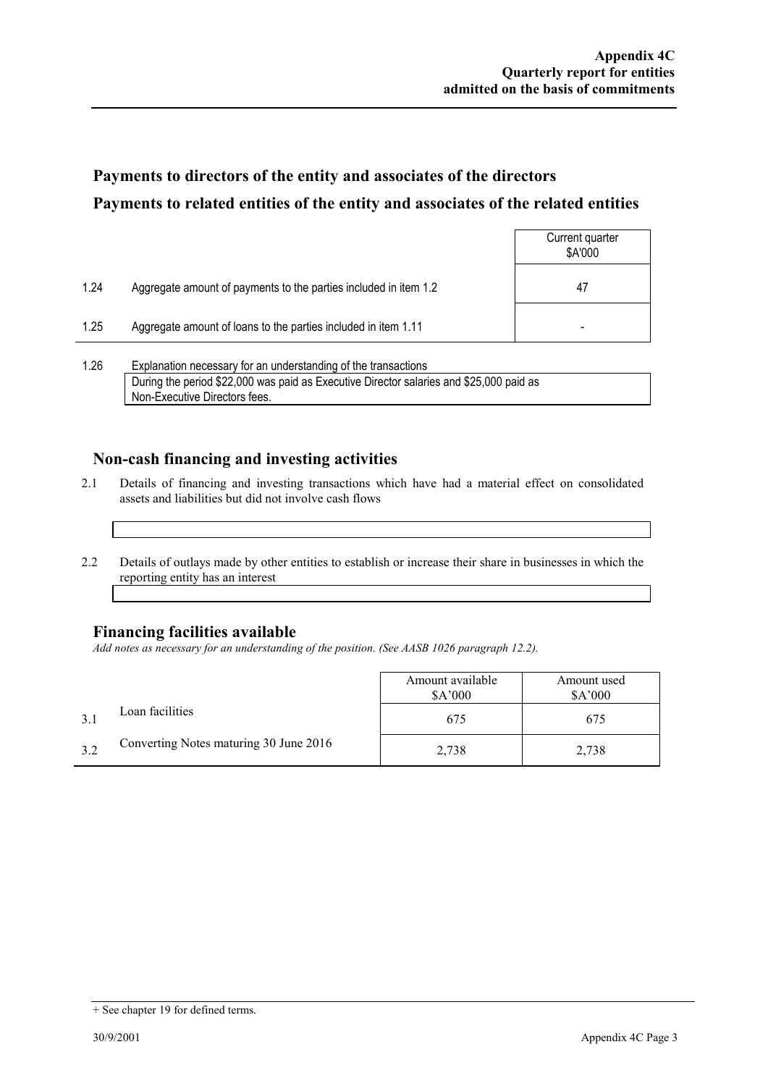## **Payments to directors of the entity and associates of the directors Payments to related entities of the entity and associates of the related entities**

|      |                                                                  | Current quarter<br>\$A'000 |
|------|------------------------------------------------------------------|----------------------------|
| 1.24 | Aggregate amount of payments to the parties included in item 1.2 | 47                         |
| 1.25 | Aggregate amount of loans to the parties included in item 1.11   |                            |
|      |                                                                  |                            |

1.26 Explanation necessary for an understanding of the transactions During the period \$22,000 was paid as Executive Director salaries and \$25,000 paid as Non-Executive Directors fees.

### **Non-cash financing and investing activities**

- 2.1 Details of financing and investing transactions which have had a material effect on consolidated assets and liabilities but did not involve cash flows
- 2.2 Details of outlays made by other entities to establish or increase their share in businesses in which the reporting entity has an interest

#### **Financing facilities available**

*Add notes as necessary for an understanding of the position. (See AASB 1026 paragraph 12.2).* 

|     |                                        | Amount available<br>\$A'000 | Amount used<br>\$A'000 |
|-----|----------------------------------------|-----------------------------|------------------------|
|     | Loan facilities                        | 675                         | 675                    |
| 3.2 | Converting Notes maturing 30 June 2016 | 2,738                       | 2,738                  |

<sup>+</sup> See chapter 19 for defined terms.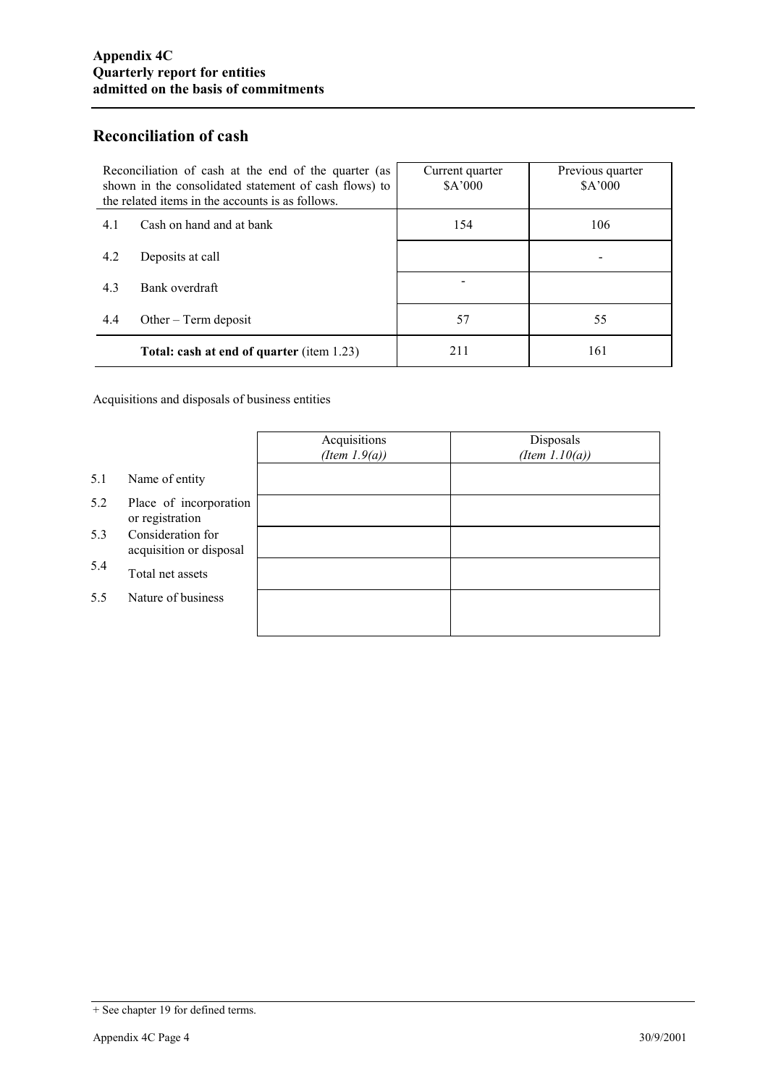### **Reconciliation of cash**

| Reconciliation of cash at the end of the quarter (as<br>shown in the consolidated statement of cash flows) to<br>the related items in the accounts is as follows. | Current quarter<br>\$A'000 | Previous quarter<br>\$A'000 |
|-------------------------------------------------------------------------------------------------------------------------------------------------------------------|----------------------------|-----------------------------|
| Cash on hand and at bank<br>4.1                                                                                                                                   | 154                        | 106                         |
| 4.2<br>Deposits at call                                                                                                                                           |                            |                             |
| 4.3<br>Bank overdraft                                                                                                                                             |                            |                             |
| 4.4<br>Other $-$ Term deposit                                                                                                                                     | 57                         | 55                          |
| <b>Total: cash at end of quarter (item 1.23)</b>                                                                                                                  | 211                        | 161                         |

Acquisitions and disposals of business entities

|     |                                              | Acquisitions<br>(Item $1.9(a)$ ) | Disposals<br>(Item $1.10(a)$ ) |
|-----|----------------------------------------------|----------------------------------|--------------------------------|
| 5.1 | Name of entity                               |                                  |                                |
| 5.2 | Place of incorporation<br>or registration    |                                  |                                |
| 5.3 | Consideration for<br>acquisition or disposal |                                  |                                |
| 5.4 | Total net assets                             |                                  |                                |
| 5.5 | Nature of business                           |                                  |                                |
|     |                                              |                                  |                                |

<sup>+</sup> See chapter 19 for defined terms.